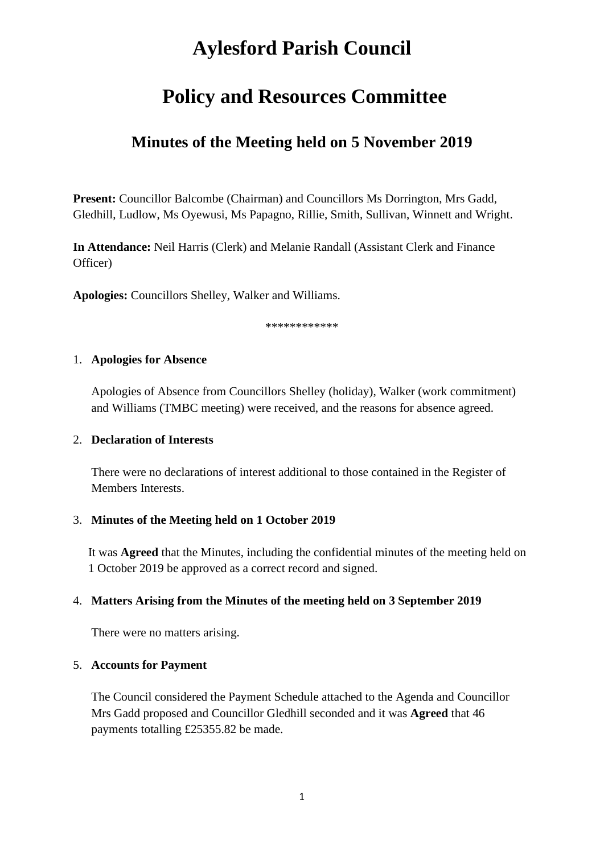# **Aylesford Parish Council**

# **Policy and Resources Committee**

# **Minutes of the Meeting held on 5 November 2019**

**Present:** Councillor Balcombe (Chairman) and Councillors Ms Dorrington, Mrs Gadd, Gledhill, Ludlow, Ms Oyewusi, Ms Papagno, Rillie, Smith, Sullivan, Winnett and Wright.

**In Attendance:** Neil Harris (Clerk) and Melanie Randall (Assistant Clerk and Finance Officer)

**Apologies:** Councillors Shelley, Walker and Williams.

\*\*\*\*\*\*\*\*\*\*\*\*

#### 1. **Apologies for Absence**

Apologies of Absence from Councillors Shelley (holiday), Walker (work commitment) and Williams (TMBC meeting) were received, and the reasons for absence agreed.

#### 2. **Declaration of Interests**

There were no declarations of interest additional to those contained in the Register of Members Interests.

#### 3. **Minutes of the Meeting held on 1 October 2019**

It was **Agreed** that the Minutes, including the confidential minutes of the meeting held on 1 October 2019 be approved as a correct record and signed.

#### 4. **Matters Arising from the Minutes of the meeting held on 3 September 2019**

There were no matters arising.

#### 5. **Accounts for Payment**

The Council considered the Payment Schedule attached to the Agenda and Councillor Mrs Gadd proposed and Councillor Gledhill seconded and it was **Agreed** that 46 payments totalling £25355.82 be made.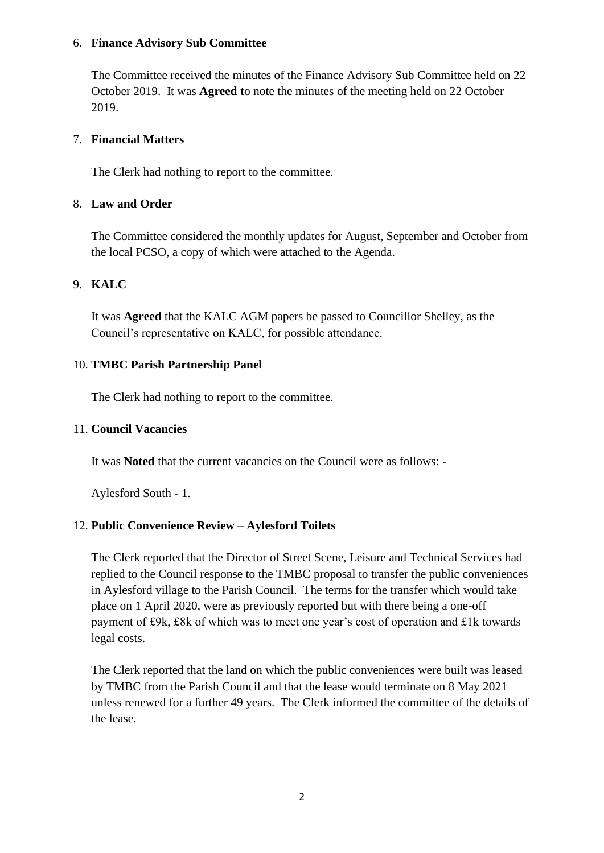#### 6. **Finance Advisory Sub Committee**

The Committee received the minutes of the Finance Advisory Sub Committee held on 22 October 2019. It was **Agreed t**o note the minutes of the meeting held on 22 October 2019.

#### 7. **Financial Matters**

The Clerk had nothing to report to the committee.

#### 8. **Law and Order**

The Committee considered the monthly updates for August, September and October from the local PCSO, a copy of which were attached to the Agenda.

#### 9. **KALC**

It was **Agreed** that the KALC AGM papers be passed to Councillor Shelley, as the Council's representative on KALC, for possible attendance.

#### 10. **TMBC Parish Partnership Panel**

The Clerk had nothing to report to the committee.

#### 11. **Council Vacancies**

It was **Noted** that the current vacancies on the Council were as follows: -

Aylesford South - 1.

#### 12. **Public Convenience Review – Aylesford Toilets**

The Clerk reported that the Director of Street Scene, Leisure and Technical Services had replied to the Council response to the TMBC proposal to transfer the public conveniences in Aylesford village to the Parish Council. The terms for the transfer which would take place on 1 April 2020, were as previously reported but with there being a one-off payment of £9k, £8k of which was to meet one year's cost of operation and £1k towards legal costs.

The Clerk reported that the land on which the public conveniences were built was leased by TMBC from the Parish Council and that the lease would terminate on 8 May 2021 unless renewed for a further 49 years. The Clerk informed the committee of the details of the lease.